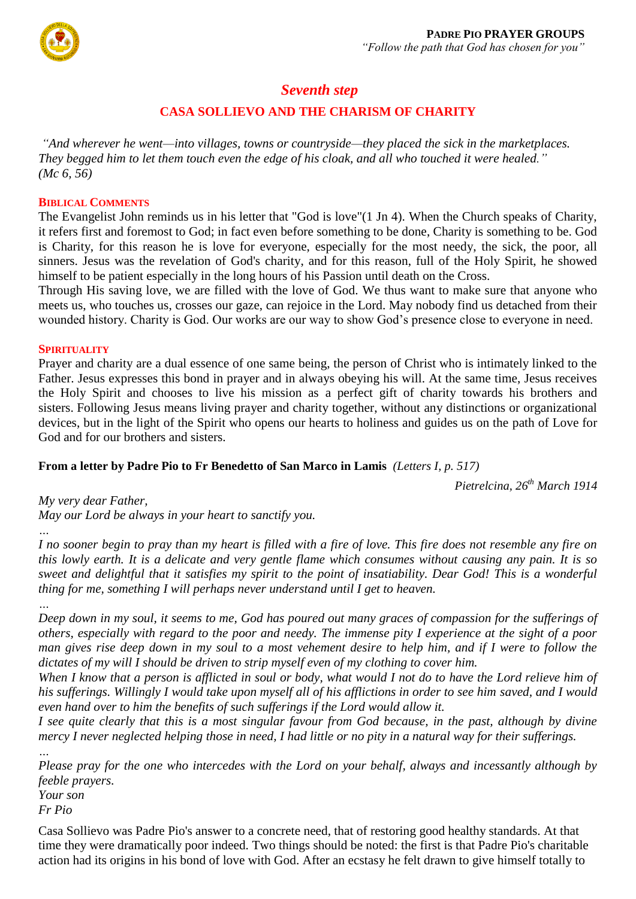

# *Seventh step*

## **CASA SOLLIEVO AND THE CHARISM OF CHARITY**

*"And wherever he went—into villages, towns or countryside—they placed the sick in the marketplaces. They begged him to let them touch even the edge of his cloak, and all who touched it were healed." (Mc 6, 56)*

#### **BIBLICAL COMMENTS**

The Evangelist John reminds us in his letter that "God is love"(1 Jn 4). When the Church speaks of Charity, it refers first and foremost to God; in fact even before something to be done, Charity is something to be. God is Charity, for this reason he is love for everyone, especially for the most needy, the sick, the poor, all sinners. Jesus was the revelation of God's charity, and for this reason, full of the Holy Spirit, he showed himself to be patient especially in the long hours of his Passion until death on the Cross.

Through His saving love, we are filled with the love of God. We thus want to make sure that anyone who meets us, who touches us, crosses our gaze, can rejoice in the Lord. May nobody find us detached from their wounded history. Charity is God. Our works are our way to show God's presence close to everyone in need.

#### **SPIRITUALITY**

Prayer and charity are a dual essence of one same being, the person of Christ who is intimately linked to the Father. Jesus expresses this bond in prayer and in always obeying his will. At the same time, Jesus receives the Holy Spirit and chooses to live his mission as a perfect gift of charity towards his brothers and sisters. Following Jesus means living prayer and charity together, without any distinctions or organizational devices, but in the light of the Spirit who opens our hearts to holiness and guides us on the path of Love for God and for our brothers and sisters.

### **From a letter by Padre Pio to Fr Benedetto of San Marco in Lamis** *(Letters I, p. 517)*

*Pietrelcina, 26 th March 1914*

*My very dear Father,* 

*…*

*…* 

*May our Lord be always in your heart to sanctify you.* 

*I no sooner begin to pray than my heart is filled with a fire of love. This fire does not resemble any fire on this lowly earth. It is a delicate and very gentle flame which consumes without causing any pain. It is so sweet and delightful that it satisfies my spirit to the point of insatiability. Dear God! This is a wonderful thing for me, something I will perhaps never understand until I get to heaven.* 

*Deep down in my soul, it seems to me, God has poured out many graces of compassion for the sufferings of others, especially with regard to the poor and needy. The immense pity I experience at the sight of a poor man gives rise deep down in my soul to a most vehement desire to help him, and if I were to follow the dictates of my will I should be driven to strip myself even of my clothing to cover him.* 

*When I know that a person is afflicted in soul or body, what would I not do to have the Lord relieve him of his sufferings. Willingly I would take upon myself all of his afflictions in order to see him saved, and I would even hand over to him the benefits of such sufferings if the Lord would allow it.* 

*I see quite clearly that this is a most singular favour from God because, in the past, although by divine mercy I never neglected helping those in need, I had little or no pity in a natural way for their sufferings.* 

*Please pray for the one who intercedes with the Lord on your behalf, always and incessantly although by feeble prayers.* 

*Your son Fr Pio* 

*…* 

Casa Sollievo was Padre Pio's answer to a concrete need, that of restoring good healthy standards. At that time they were dramatically poor indeed. Two things should be noted: the first is that Padre Pio's charitable action had its origins in his bond of love with God. After an ecstasy he felt drawn to give himself totally to